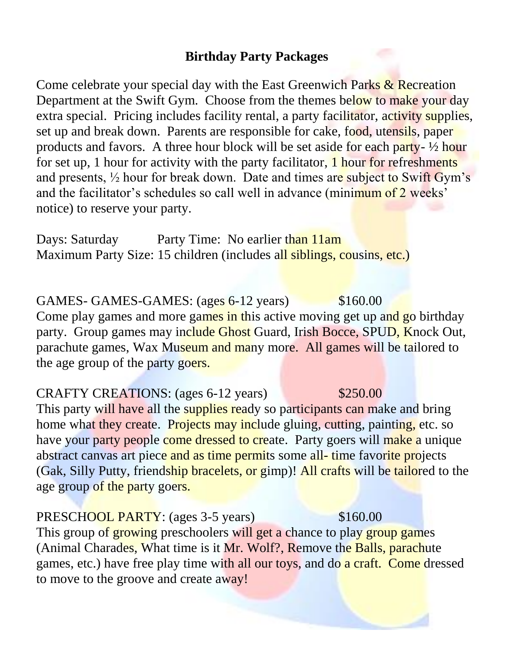# **Birthday Party Packages**

Come celebrate your special day with the East Greenwich Parks & Recreation Department at the Swift Gym. Choose from the themes below to make your day extra special. Pricing includes facility rental, a party facilitator, activity supplies, set up and break down. Parents are responsible for cake, food, utensils, paper products and favors. A three hour block will be set aside for each party- ½ hour for set up, 1 hour for activity with the party facilitator, 1 hour for refreshments and presents, ½ hour for break down. Date and times are subject to Swift Gym's and the facilitator's schedules so call well in advance (minimum of 2 weeks' notice) to reserve your party.

Days: Saturday Party Time: No earlier than 11am Maximum Party Size: 15 children (includes all siblings, cousins, etc.)

GAMES- GAMES-GAMES: (ages 6-12 years) \$160.00 Come play games and more games in this active moving get up and go birthday party. Group games may include Ghost Guard, Irish Bocce, SPUD, Knock Out, parachute games, Wax Museum and many more. All games will be tailored to the age group of the party goers.

# CRAFTY CREATIONS: (ages 6-12 years) \$250.00

This party will have all the supplies ready so participants can make and bring home what they create. Projects may include gluing, cutting, painting, etc. so have your party people come dressed to create. Party goers will make a unique abstract canvas art piece and as time permits some all-time favorite projects (Gak, Silly Putty, friendship bracelets, or gimp)! All crafts will be tailored to the age group of the party goers.

## PRESCHOOL PARTY: (ages 3-5 years) \$160.00

This group of growing preschoolers will get a chance to play group games (Animal Charades, What time is it Mr. Wolf?, Remove the Balls, parachute games, etc.) have free play time with all our toys, and do a craft. Come dressed to move to the groove and create away!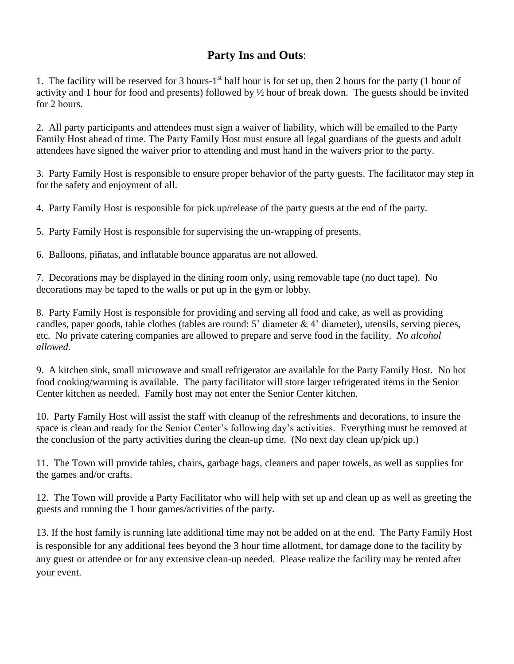## **Party Ins and Outs**:

1. The facility will be reserved for 3 hours-1<sup>st</sup> half hour is for set up, then 2 hours for the party (1 hour of activity and 1 hour for food and presents) followed by ½ hour of break down. The guests should be invited for 2 hours.

2. All party participants and attendees must sign a waiver of liability, which will be emailed to the Party Family Host ahead of time. The Party Family Host must ensure all legal guardians of the guests and adult attendees have signed the waiver prior to attending and must hand in the waivers prior to the party.

3. Party Family Host is responsible to ensure proper behavior of the party guests. The facilitator may step in for the safety and enjoyment of all.

4. Party Family Host is responsible for pick up/release of the party guests at the end of the party.

5. Party Family Host is responsible for supervising the un-wrapping of presents.

6. Balloons, piñatas, and inflatable bounce apparatus are not allowed.

7. Decorations may be displayed in the dining room only, using removable tape (no duct tape). No decorations may be taped to the walls or put up in the gym or lobby.

8. Party Family Host is responsible for providing and serving all food and cake, as well as providing candles, paper goods, table clothes (tables are round:  $5'$  diameter  $\&$  4' diameter), utensils, serving pieces, etc. No private catering companies are allowed to prepare and serve food in the facility. *No alcohol allowed.*

9. A kitchen sink, small microwave and small refrigerator are available for the Party Family Host. No hot food cooking/warming is available. The party facilitator will store larger refrigerated items in the Senior Center kitchen as needed. Family host may not enter the Senior Center kitchen.

10. Party Family Host will assist the staff with cleanup of the refreshments and decorations, to insure the space is clean and ready for the Senior Center's following day's activities. Everything must be removed at the conclusion of the party activities during the clean-up time. (No next day clean up/pick up.)

11. The Town will provide tables, chairs, garbage bags, cleaners and paper towels, as well as supplies for the games and/or crafts.

12. The Town will provide a Party Facilitator who will help with set up and clean up as well as greeting the guests and running the 1 hour games/activities of the party.

13. If the host family is running late additional time may not be added on at the end. The Party Family Host is responsible for any additional fees beyond the 3 hour time allotment, for damage done to the facility by any guest or attendee or for any extensive clean-up needed. Please realize the facility may be rented after your event.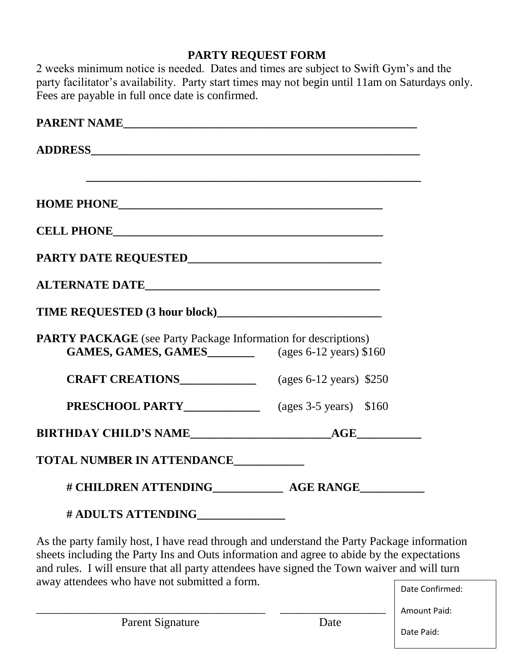# **PARTY REQUEST FORM**

2 weeks minimum notice is needed. Dates and times are subject to Swift Gym's and the party facilitator's availability. Party start times may not begin until 11am on Saturdays only. Fees are payable in full once date is confirmed.

| HOME PHONE CONTRACT COMMUNICATIONS                                                                  |                           |
|-----------------------------------------------------------------------------------------------------|---------------------------|
| CELL PHONE CELL PHONE                                                                               |                           |
|                                                                                                     |                           |
|                                                                                                     |                           |
|                                                                                                     |                           |
| <b>PARTY PACKAGE</b> (see Party Package Information for descriptions)<br><b>GAMES, GAMES, GAMES</b> | (ages $6-12$ years) \$160 |
| <b>CRAFT CREATIONS</b> (ages 6-12 years) \$250                                                      |                           |
| <b>PRESCHOOL PARTY</b> (ages 3-5 years) \$160                                                       |                           |
|                                                                                                     |                           |
| <b>TOTAL NUMBER IN ATTENDANCE</b>                                                                   |                           |
|                                                                                                     |                           |
| # ADULTS ATTENDING______________                                                                    |                           |

As the party family host, I have read through and understand the Party Package information sheets including the Party Ins and Outs information and agree to abide by the expectations and rules. I will ensure that all party attendees have signed the Town waiver and will turn away attendees who have not submitted a form.

\_\_\_\_\_\_\_\_\_\_\_\_\_\_\_\_\_\_\_\_\_\_\_\_\_\_\_\_\_\_\_\_\_\_\_\_\_\_\_ \_\_\_\_\_\_\_\_\_\_\_\_\_\_\_\_\_\_

Date Confirmed:

Date Paid: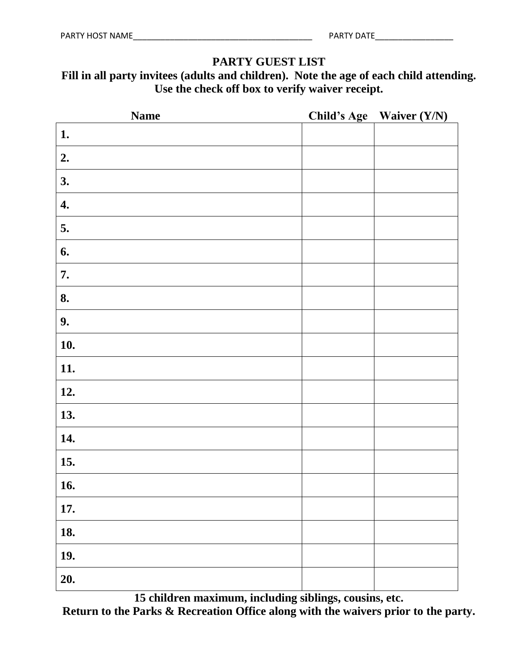## **PARTY GUEST LIST**

# **Fill in all party invitees (adults and children). Note the age of each child attending. Use the check off box to verify waiver receipt.**

| <b>Name</b> | Child's Age Waiver (Y/N) |
|-------------|--------------------------|
| 1.          |                          |
| 2.          |                          |
| 3.          |                          |
| 4.          |                          |
| 5.          |                          |
| 6.          |                          |
| 7.          |                          |
| 8.          |                          |
| 9.          |                          |
| 10.         |                          |
| 11.         |                          |
| 12.         |                          |
| 13.         |                          |
| 14.         |                          |
| 15.         |                          |
| 16.         |                          |
| 17.         |                          |
| 18.         |                          |
| 19.         |                          |
| 20.         |                          |

**15 children maximum, including siblings, cousins, etc. Return to the Parks & Recreation Office along with the waivers prior to the party.**